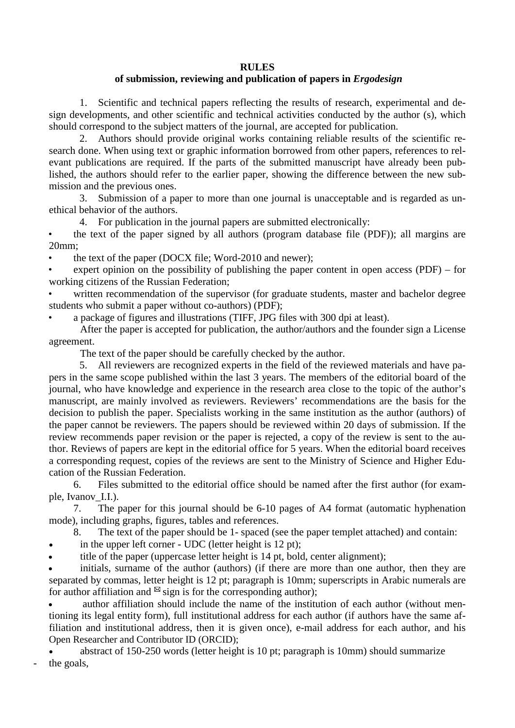## **RULES**

## **of submission, reviewing and publication of papers in** *Ergodesign*

1. Scientific and technical papers reflecting the results of research, experimental and design developments, and other scientific and technical activities conducted by the author (s), which should correspond to the subject matters of the journal, are accepted for publication.

2. Authors should provide original works containing reliable results of the scientific research done. When using text or graphic information borrowed from other papers, references to relevant publications are required. If the parts of the submitted manuscript have already been published, the authors should refer to the earlier paper, showing the difference between the new submission and the previous ones.

3. Submission of a paper to more than one journal is unacceptable and is regarded as unethical behavior of the authors.

4. For publication in the journal papers are submitted electronically:

• the text of the paper signed by all authors (program database file (PDF)); all margins are 20mm;

the text of the paper (DOCX file; Word-2010 and newer);

expert opinion on the possibility of publishing the paper content in open access (PDF) – for working citizens of the Russian Federation;

written recommendation of the supervisor (for graduate students, master and bachelor degree students who submit a paper without co-authors) (PDF);

• a package of figures and illustrations (TIFF, JPG files with 300 dpi at least).

After the paper is accepted for publication, the author/authors and the founder sign a License agreement.

The text of the paper should be carefully checked by the author.

5. All reviewers are recognized experts in the field of the reviewed materials and have papers in the same scope published within the last 3 years. The members of the editorial board of the journal, who have knowledge and experience in the research area close to the topic of the author's manuscript, are mainly involved as reviewers. Reviewers' recommendations are the basis for the decision to publish the paper. Specialists working in the same institution as the author (authors) of the paper cannot be reviewers. The papers should be reviewed within 20 days of submission. If the review recommends paper revision or the paper is rejected, a copy of the review is sent to the author. Reviews of papers are kept in the editorial office for 5 years. When the editorial board receives a corresponding request, copies of the reviews are sent to the Ministry of Science and Higher Education of the Russian Federation.

6. Files submitted to the editorial office should be named after the first author (for example, Ivanov\_I.I.).

7. The paper for this journal should be 6-10 pages of A4 format (automatic hyphenation mode), including graphs, figures, tables and references.

8. The text of the paper should be 1- spaced (see the paper templet attached) and contain:

in the upper left corner - UDC (letter height is  $12$  pt);

title of the paper (uppercase letter height is 14 pt, bold, center alignment);

initials, surname of the author (authors) (if there are more than one author, then they are separated by commas, letter height is 12 pt; paragraph is 10mm; superscripts in Arabic numerals are for author affiliation and  $\mathbb{Z}$  sign is for the corresponding author);

author affiliation should include the name of the institution of each author (without mentioning its legal entity form), full institutional address for each author (if authors have the same affiliation and institutional address, then it is given once), e-mail address for each author, and his Open Researcher and Contributor ID (ORCID);

• abstract of 150-250 words (letter height is 10 pt; paragraph is 10mm) should summarize the goals,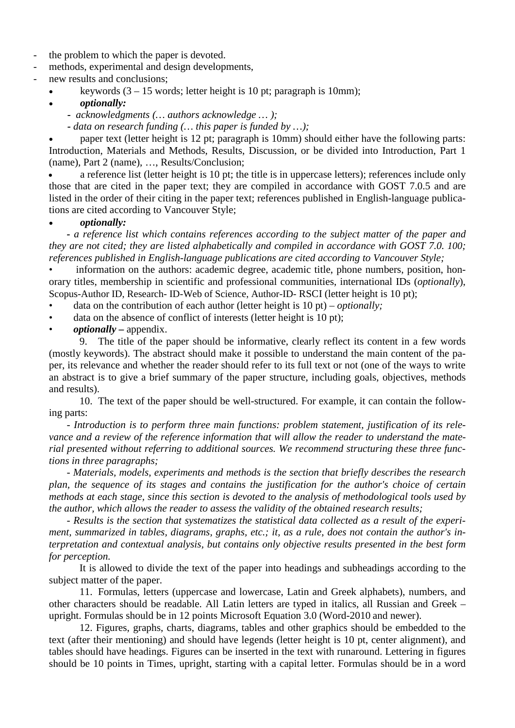- the problem to which the paper is devoted.
- methods, experimental and design developments,
- new results and conclusions;
	- keywords  $(3 15$  words; letter height is 10 pt; paragraph is 10mm);
	- *optionally:*
		- *- acknowledgments (… authors acknowledge … );*
		- *- data on research funding (… this paper is funded by …);*

• paper text (letter height is 12 pt; paragraph is 10mm) should either have the following parts: Introduction, Materials and Methods, Results, Discussion, or be divided into Introduction, Part 1 (name), Part 2 (name), …, Results/Conclusion;

• a reference list (letter height is 10 pt; the title is in uppercase letters); references include only those that are cited in the paper text; they are compiled in accordance with GOST 7.0.5 and are listed in the order of their citing in the paper text; references published in English-language publications are cited according to Vancouver Style;

## • *optionally:*

*- a reference list which contains references according to the subject matter of the paper and they are not cited; they are listed alphabetically and compiled in accordance with GOST 7.0. 100; references published in English-language publications are cited according to Vancouver Style;*

information on the authors: academic degree, academic title, phone numbers, position, honorary titles, membership in scientific and professional communities, international IDs (*optionally*), Scopus-Author ID, Research- ID-Web of Science, Author-ID- [RSCI](https://www.multitran.com/m.exe?s=RSCI&l1=1&l2=2) (letter height is 10 pt);

- data on the contribution of each author (letter height is 10 pt) *optionally;*
- data on the absence of conflict of interests (letter height is 10 pt);
- *optionally –* appendix.

9. The title of the paper should be informative, clearly reflect its content in a few words (mostly keywords). The abstract should make it possible to understand the main content of the paper, its relevance and whether the reader should refer to its full text or not (one of the ways to write an abstract is to give a brief summary of the paper structure, including goals, objectives, methods and results).

10. The text of the paper should be well-structured. For example, it can contain the following parts:

- *Introduction is to perform three main functions: problem statement, justification of its relevance and a review of the reference information that will allow the reader to understand the material presented without referring to additional sources. We recommend structuring these three functions in three paragraphs;*

- *Materials, models, experiments and methods is the section that briefly describes the research plan, the sequence of its stages and contains the justification for the author's choice of certain methods at each stage, since this section is devoted to the analysis of methodological tools used by the author, which allows the reader to assess the validity of the obtained research results;*

- *Results is the section that systematizes the statistical data collected as a result of the experiment, summarized in tables, diagrams, graphs, etc.; it, as a rule, does not contain the author's interpretation and contextual analysis, but contains only objective results presented in the best form for perception.*

It is allowed to divide the text of the paper into headings and subheadings according to the subject matter of the paper.

11. Formulas, letters (uppercase and lowercase, Latin and Greek alphabets), numbers, and other characters should be readable. All Latin letters are typed in italics, all Russian and Greek – upright. Formulas should be in 12 points Microsoft Equation 3.0 (Word-2010 and newer).

12. Figures, graphs, charts, diagrams, tables and other graphics should be embedded to the text (after their mentioning) and should have legends (letter height is 10 pt, center alignment), and tables should have headings. Figures can be inserted in the text with runaround. Lettering in figures should be 10 points in Times, upright, starting with a capital letter. Formulas should be in a word